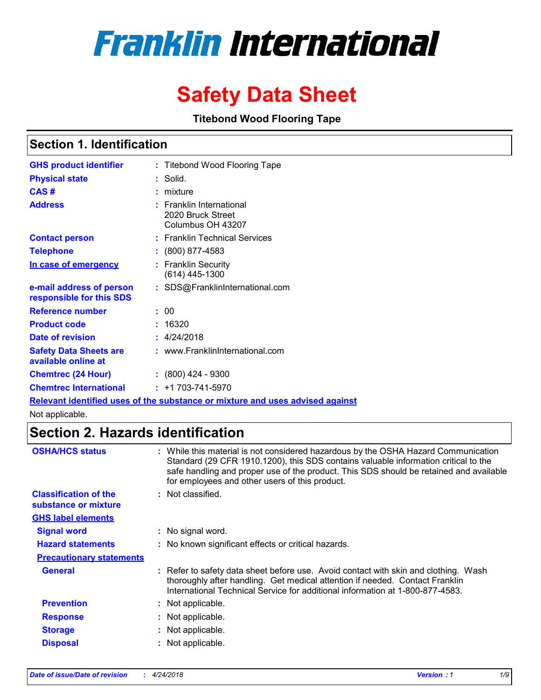# **Franklin International**

# **Safety Data Sheet**

**Titebond Wood Flooring Tape**

# **Section 1. Identification**

| <b>GHS product identifier</b>                        | : Titebond Wood Flooring Tape                                                 |
|------------------------------------------------------|-------------------------------------------------------------------------------|
| <b>Physical state</b>                                | : Solid.                                                                      |
| CAS#                                                 | : mixture                                                                     |
| <b>Address</b>                                       | $:$ Franklin International<br>2020 Bruck Street<br>Columbus OH 43207          |
| <b>Contact person</b>                                | : Franklin Technical Services                                                 |
| <b>Telephone</b>                                     | : (800) 877-4583                                                              |
| In case of emergency                                 | : Franklin Security<br>$(614)$ 445-1300                                       |
| e-mail address of person<br>responsible for this SDS | : SDS@FranklinInternational.com                                               |
| <b>Reference number</b>                              | : 00                                                                          |
| <b>Product code</b>                                  | 16320                                                                         |
| Date of revision                                     | : 4/24/2018                                                                   |
| <b>Safety Data Sheets are</b><br>available online at | : www.FranklinInternational.com                                               |
| <b>Chemtrec (24 Hour)</b>                            | $: (800)$ 424 - 9300                                                          |
| <b>Chemtrec International</b>                        | $: +1703 - 741 - 5970$                                                        |
|                                                      | Relevant identified uses of the substance or mixture and uses advised against |

Not applicable.

# **Section 2. Hazards identification**

| <b>OSHA/HCS status</b>                               | While this material is not considered hazardous by the OSHA Hazard Communication<br>Standard (29 CFR 1910.1200), this SDS contains valuable information critical to the<br>safe handling and proper use of the product. This SDS should be retained and available<br>for employees and other users of this product. |
|------------------------------------------------------|---------------------------------------------------------------------------------------------------------------------------------------------------------------------------------------------------------------------------------------------------------------------------------------------------------------------|
| <b>Classification of the</b><br>substance or mixture | : Not classified.                                                                                                                                                                                                                                                                                                   |
| <b>GHS label elements</b>                            |                                                                                                                                                                                                                                                                                                                     |
| <b>Signal word</b>                                   | : No signal word.                                                                                                                                                                                                                                                                                                   |
| <b>Hazard statements</b>                             | : No known significant effects or critical hazards.                                                                                                                                                                                                                                                                 |
| <b>Precautionary statements</b>                      |                                                                                                                                                                                                                                                                                                                     |
| <b>General</b>                                       | : Refer to safety data sheet before use. Avoid contact with skin and clothing. Wash<br>thoroughly after handling. Get medical attention if needed. Contact Franklin<br>International Technical Service for additional information at 1-800-877-4583.                                                                |
| <b>Prevention</b>                                    | : Not applicable.                                                                                                                                                                                                                                                                                                   |
| <b>Response</b>                                      | Not applicable.                                                                                                                                                                                                                                                                                                     |
| <b>Storage</b>                                       | : Not applicable.                                                                                                                                                                                                                                                                                                   |
| <b>Disposal</b>                                      | Not applicable.                                                                                                                                                                                                                                                                                                     |
|                                                      |                                                                                                                                                                                                                                                                                                                     |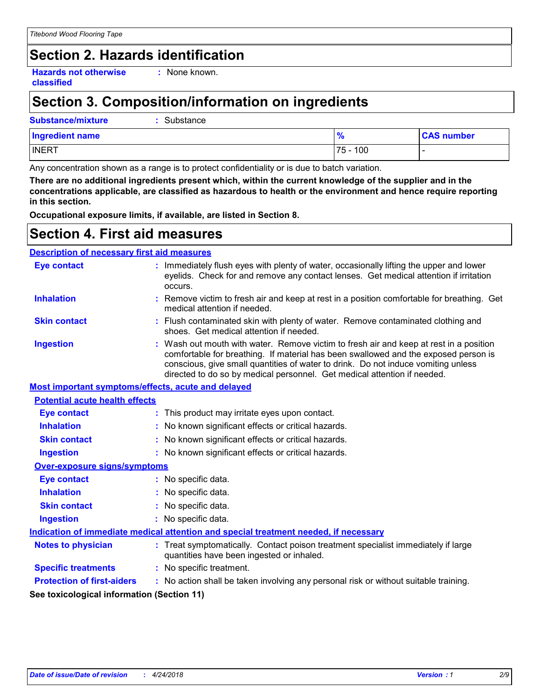# **Section 2. Hazards identification**

**Hazards not otherwise classified**

**:** None known.

# **Section 3. Composition/information on ingredients**

**Substance/mixture :** Substance

| <b>Ingredient name</b> | %             | <b>CAS number</b> |
|------------------------|---------------|-------------------|
| <b>INERT</b>           | 100<br>$75 -$ |                   |

Any concentration shown as a range is to protect confidentiality or is due to batch variation.

**There are no additional ingredients present which, within the current knowledge of the supplier and in the concentrations applicable, are classified as hazardous to health or the environment and hence require reporting in this section.**

**Occupational exposure limits, if available, are listed in Section 8.**

# **Section 4. First aid measures**

#### **Description of necessary first aid measures**

| <b>Eye contact</b>                                 |  | : Immediately flush eyes with plenty of water, occasionally lifting the upper and lower<br>eyelids. Check for and remove any contact lenses. Get medical attention if irritation<br>occurs.                                                                                                                                                    |  |  |
|----------------------------------------------------|--|------------------------------------------------------------------------------------------------------------------------------------------------------------------------------------------------------------------------------------------------------------------------------------------------------------------------------------------------|--|--|
| <b>Inhalation</b>                                  |  | : Remove victim to fresh air and keep at rest in a position comfortable for breathing. Get<br>medical attention if needed.                                                                                                                                                                                                                     |  |  |
| <b>Skin contact</b>                                |  | : Flush contaminated skin with plenty of water. Remove contaminated clothing and<br>shoes. Get medical attention if needed.                                                                                                                                                                                                                    |  |  |
| <b>Ingestion</b>                                   |  | : Wash out mouth with water. Remove victim to fresh air and keep at rest in a position<br>comfortable for breathing. If material has been swallowed and the exposed person is<br>conscious, give small quantities of water to drink. Do not induce vomiting unless<br>directed to do so by medical personnel. Get medical attention if needed. |  |  |
| Most important symptoms/effects, acute and delayed |  |                                                                                                                                                                                                                                                                                                                                                |  |  |
| <b>Potential acute health effects</b>              |  |                                                                                                                                                                                                                                                                                                                                                |  |  |
| <b>Eye contact</b>                                 |  | : This product may irritate eyes upon contact.                                                                                                                                                                                                                                                                                                 |  |  |
| <b>Inhalation</b>                                  |  | No known significant effects or critical hazards.                                                                                                                                                                                                                                                                                              |  |  |
| <b>Skin contact</b>                                |  | : No known significant effects or critical hazards.                                                                                                                                                                                                                                                                                            |  |  |
| <b>Ingestion</b>                                   |  | : No known significant effects or critical hazards.                                                                                                                                                                                                                                                                                            |  |  |
| <b>Over-exposure signs/symptoms</b>                |  |                                                                                                                                                                                                                                                                                                                                                |  |  |
| <b>Eye contact</b>                                 |  | : No specific data.                                                                                                                                                                                                                                                                                                                            |  |  |
| <b>Inhalation</b>                                  |  | : No specific data.                                                                                                                                                                                                                                                                                                                            |  |  |
| <b>Skin contact</b>                                |  | : No specific data.                                                                                                                                                                                                                                                                                                                            |  |  |
| <b>Ingestion</b>                                   |  | : No specific data.                                                                                                                                                                                                                                                                                                                            |  |  |
|                                                    |  | Indication of immediate medical attention and special treatment needed, if necessary                                                                                                                                                                                                                                                           |  |  |
| <b>Notes to physician</b>                          |  | : Treat symptomatically. Contact poison treatment specialist immediately if large<br>quantities have been ingested or inhaled.                                                                                                                                                                                                                 |  |  |
| <b>Specific treatments</b>                         |  | : No specific treatment.                                                                                                                                                                                                                                                                                                                       |  |  |
| <b>Protection of first-aiders</b>                  |  | : No action shall be taken involving any personal risk or without suitable training.                                                                                                                                                                                                                                                           |  |  |
| See toxicological information (Section 11)         |  |                                                                                                                                                                                                                                                                                                                                                |  |  |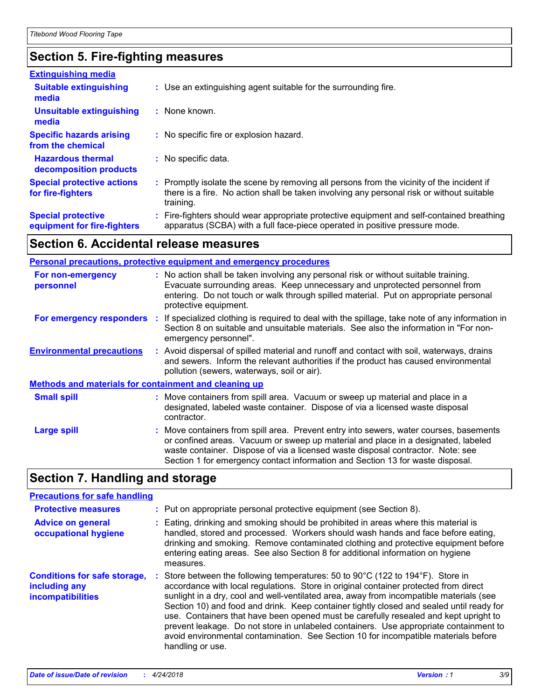# **Section 5. Fire-fighting measures**

| <b>Extinguishing media</b>                               |                                                                                                                                                                                                     |
|----------------------------------------------------------|-----------------------------------------------------------------------------------------------------------------------------------------------------------------------------------------------------|
| <b>Suitable extinguishing</b><br>media                   | : Use an extinguishing agent suitable for the surrounding fire.                                                                                                                                     |
| Unsuitable extinguishing<br>media                        | $:$ None known.                                                                                                                                                                                     |
| <b>Specific hazards arising</b><br>from the chemical     | : No specific fire or explosion hazard.                                                                                                                                                             |
| <b>Hazardous thermal</b><br>decomposition products       | : No specific data.                                                                                                                                                                                 |
| <b>Special protective actions</b><br>for fire-fighters   | : Promptly isolate the scene by removing all persons from the vicinity of the incident if<br>there is a fire. No action shall be taken involving any personal risk or without suitable<br>training. |
| <b>Special protective</b><br>equipment for fire-fighters | : Fire-fighters should wear appropriate protective equipment and self-contained breathing<br>apparatus (SCBA) with a full face-piece operated in positive pressure mode.                            |

## **Section 6. Accidental release measures**

|                                                              | <b>Personal precautions, protective equipment and emergency procedures</b>                                                                                                                                                                                                                                                                       |
|--------------------------------------------------------------|--------------------------------------------------------------------------------------------------------------------------------------------------------------------------------------------------------------------------------------------------------------------------------------------------------------------------------------------------|
| For non-emergency<br>personnel                               | : No action shall be taken involving any personal risk or without suitable training.<br>Evacuate surrounding areas. Keep unnecessary and unprotected personnel from<br>entering. Do not touch or walk through spilled material. Put on appropriate personal<br>protective equipment.                                                             |
| For emergency responders                                     | : If specialized clothing is required to deal with the spillage, take note of any information in<br>Section 8 on suitable and unsuitable materials. See also the information in "For non-<br>emergency personnel".                                                                                                                               |
| <b>Environmental precautions</b>                             | : Avoid dispersal of spilled material and runoff and contact with soil, waterways, drains<br>and sewers. Inform the relevant authorities if the product has caused environmental<br>pollution (sewers, waterways, soil or air).                                                                                                                  |
| <b>Methods and materials for containment and cleaning up</b> |                                                                                                                                                                                                                                                                                                                                                  |
| <b>Small spill</b>                                           | : Move containers from spill area. Vacuum or sweep up material and place in a<br>designated, labeled waste container. Dispose of via a licensed waste disposal<br>contractor.                                                                                                                                                                    |
| <b>Large spill</b>                                           | : Move containers from spill area. Prevent entry into sewers, water courses, basements<br>or confined areas. Vacuum or sweep up material and place in a designated, labeled<br>waste container. Dispose of via a licensed waste disposal contractor. Note: see<br>Section 1 for emergency contact information and Section 13 for waste disposal. |

# **Section 7. Handling and storage**

#### **Advice on general occupational hygiene Conditions for safe storage, including any incompatibilities** Eating, drinking and smoking should be prohibited in areas where this material is **:** handled, stored and processed. Workers should wash hands and face before eating, drinking and smoking. Remove contaminated clothing and protective equipment before entering eating areas. See also Section 8 for additional information on hygiene measures. Store between the following temperatures: 50 to 90°C (122 to 194°F). Store in **:** accordance with local regulations. Store in original container protected from direct sunlight in a dry, cool and well-ventilated area, away from incompatible materials (see Section 10) and food and drink. Keep container tightly closed and sealed until ready for use. Containers that have been opened must be carefully resealed and kept upright to prevent leakage. Do not store in unlabeled containers. Use appropriate containment to avoid environmental contamination. See Section 10 for incompatible materials before handling or use. **Protective measures : Put on appropriate personal protective equipment (see Section 8). Precautions for safe handling**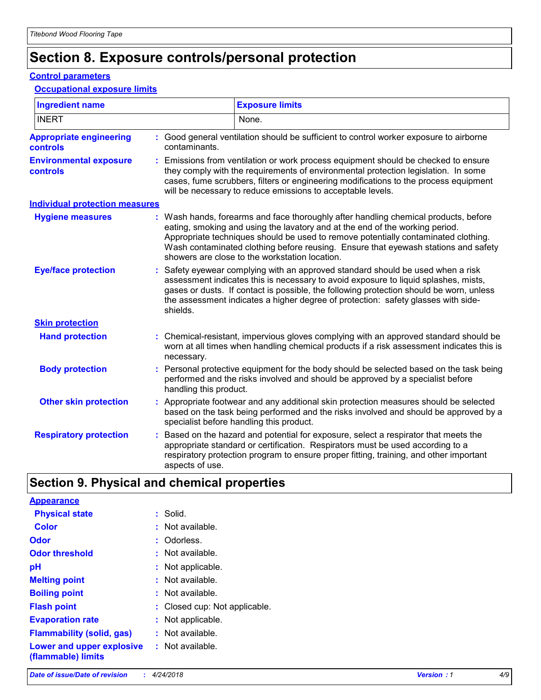# **Section 8. Exposure controls/personal protection**

#### **Control parameters**

#### **Occupational exposure limits**

| <b>Ingredient name</b>                            | <b>Exposure limits</b>                                                                                                                                                                                                                                                                                                                                                                          |
|---------------------------------------------------|-------------------------------------------------------------------------------------------------------------------------------------------------------------------------------------------------------------------------------------------------------------------------------------------------------------------------------------------------------------------------------------------------|
| <b>INERT</b>                                      | None.                                                                                                                                                                                                                                                                                                                                                                                           |
| <b>Appropriate engineering</b><br><b>controls</b> | : Good general ventilation should be sufficient to control worker exposure to airborne<br>contaminants.                                                                                                                                                                                                                                                                                         |
| <b>Environmental exposure</b><br>controls         | Emissions from ventilation or work process equipment should be checked to ensure<br>they comply with the requirements of environmental protection legislation. In some<br>cases, fume scrubbers, filters or engineering modifications to the process equipment<br>will be necessary to reduce emissions to acceptable levels.                                                                   |
| <b>Individual protection measures</b>             |                                                                                                                                                                                                                                                                                                                                                                                                 |
| <b>Hygiene measures</b>                           | Wash hands, forearms and face thoroughly after handling chemical products, before<br>eating, smoking and using the lavatory and at the end of the working period.<br>Appropriate techniques should be used to remove potentially contaminated clothing.<br>Wash contaminated clothing before reusing. Ensure that eyewash stations and safety<br>showers are close to the workstation location. |
| <b>Eye/face protection</b>                        | Safety eyewear complying with an approved standard should be used when a risk<br>assessment indicates this is necessary to avoid exposure to liquid splashes, mists,<br>gases or dusts. If contact is possible, the following protection should be worn, unless<br>the assessment indicates a higher degree of protection: safety glasses with side-<br>shields.                                |
| <b>Skin protection</b>                            |                                                                                                                                                                                                                                                                                                                                                                                                 |
| <b>Hand protection</b>                            | Chemical-resistant, impervious gloves complying with an approved standard should be<br>worn at all times when handling chemical products if a risk assessment indicates this is<br>necessary.                                                                                                                                                                                                   |
| <b>Body protection</b>                            | Personal protective equipment for the body should be selected based on the task being<br>performed and the risks involved and should be approved by a specialist before<br>handling this product.                                                                                                                                                                                               |
| <b>Other skin protection</b>                      | Appropriate footwear and any additional skin protection measures should be selected<br>based on the task being performed and the risks involved and should be approved by a<br>specialist before handling this product.                                                                                                                                                                         |
| <b>Respiratory protection</b>                     | Based on the hazard and potential for exposure, select a respirator that meets the<br>appropriate standard or certification. Respirators must be used according to a<br>respiratory protection program to ensure proper fitting, training, and other important<br>aspects of use.                                                                                                               |

# **Section 9. Physical and chemical properties**

| <b>Appearance</b>                               |                               |
|-------------------------------------------------|-------------------------------|
| <b>Physical state</b>                           | : Solid.                      |
| Color                                           | : Not available.              |
| Odor                                            | : Odorless.                   |
| <b>Odor threshold</b>                           | : Not available.              |
| рH                                              | : Not applicable.             |
| <b>Melting point</b>                            | : Not available.              |
| <b>Boiling point</b>                            | : Not available.              |
| <b>Flash point</b>                              | : Closed cup: Not applicable. |
| <b>Evaporation rate</b>                         | : Not applicable.             |
| <b>Flammability (solid, gas)</b>                | : Not available.              |
| Lower and upper explosive<br>(flammable) limits | $:$ Not available.            |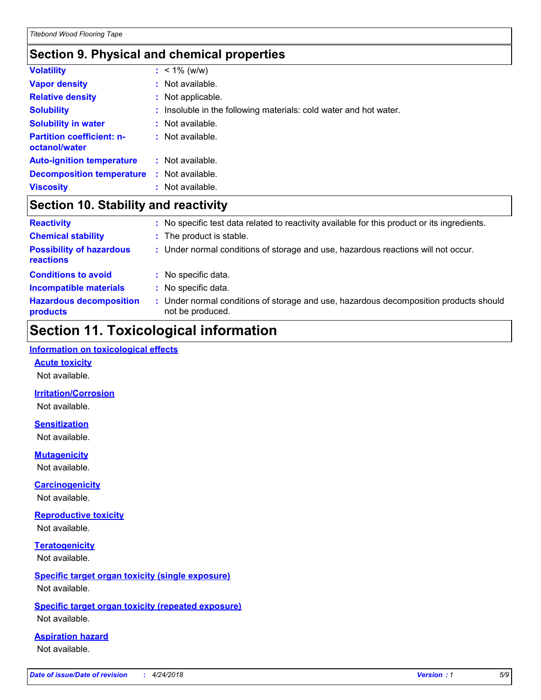# **Section 9. Physical and chemical properties**

| <b>Volatility</b>                                 |    | $: 1\%$ (w/w)                                                     |
|---------------------------------------------------|----|-------------------------------------------------------------------|
| <b>Vapor density</b>                              |    | : Not available.                                                  |
| <b>Relative density</b>                           |    | : Not applicable.                                                 |
| <b>Solubility</b>                                 |    | : Insoluble in the following materials: cold water and hot water. |
| <b>Solubility in water</b>                        |    | $:$ Not available.                                                |
| <b>Partition coefficient: n-</b><br>octanol/water |    | : Not available.                                                  |
| <b>Auto-ignition temperature</b>                  |    | $:$ Not available.                                                |
| <b>Decomposition temperature</b>                  | ÷. | Not available.                                                    |
| <b>Viscosity</b>                                  |    | : Not available.                                                  |

# **Section 10. Stability and reactivity**

| <b>Reactivity</b>                            |    | : No specific test data related to reactivity available for this product or its ingredients.            |
|----------------------------------------------|----|---------------------------------------------------------------------------------------------------------|
| <b>Chemical stability</b>                    |    | : The product is stable.                                                                                |
| <b>Possibility of hazardous</b><br>reactions |    | : Under normal conditions of storage and use, hazardous reactions will not occur.                       |
| <b>Conditions to avoid</b>                   |    | : No specific data.                                                                                     |
| <b>Incompatible materials</b>                | ÷. | No specific data.                                                                                       |
| <b>Hazardous decomposition</b><br>products   |    | Under normal conditions of storage and use, hazardous decomposition products should<br>not be produced. |

# **Section 11. Toxicological information**

#### **Information on toxicological effects**

#### **Acute toxicity**

Not available.

#### **Irritation/Corrosion**

Not available.

#### **Sensitization**

Not available.

## **Mutagenicity**

Not available.

#### **Carcinogenicity**

Not available.

#### **Reproductive toxicity**

Not available.

#### **Teratogenicity** Not available.

#### **Specific target organ toxicity (single exposure)** Not available.

#### **Specific target organ toxicity (repeated exposure)** Not available.

#### **Aspiration hazard**

Not available.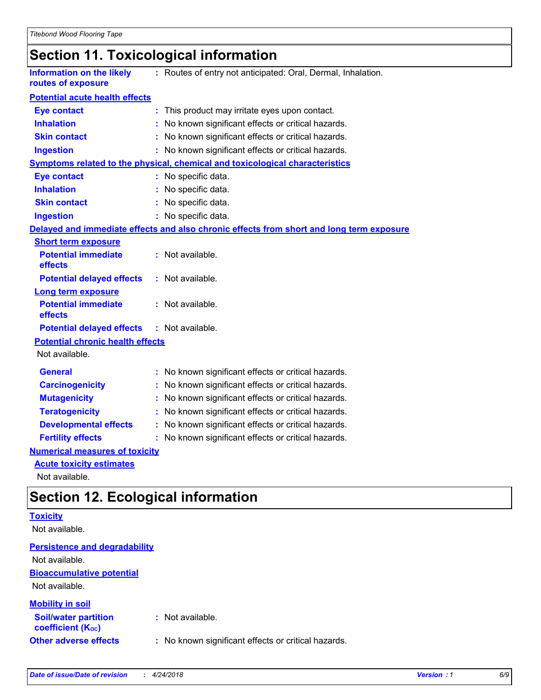# **Section 11. Toxicological information**

| <b>Information on the likely</b><br>routes of exposure | : Routes of entry not anticipated: Oral, Dermal, Inhalation.                             |
|--------------------------------------------------------|------------------------------------------------------------------------------------------|
| <b>Potential acute health effects</b>                  |                                                                                          |
| <b>Eye contact</b>                                     | : This product may irritate eyes upon contact.                                           |
| <b>Inhalation</b>                                      | No known significant effects or critical hazards.                                        |
| <b>Skin contact</b>                                    | : No known significant effects or critical hazards.                                      |
| <b>Ingestion</b>                                       | : No known significant effects or critical hazards.                                      |
|                                                        | <b>Symptoms related to the physical, chemical and toxicological characteristics</b>      |
| <b>Eye contact</b>                                     | : No specific data.                                                                      |
| <b>Inhalation</b>                                      | : No specific data.                                                                      |
| <b>Skin contact</b>                                    | : No specific data.                                                                      |
| <b>Ingestion</b>                                       | : No specific data.                                                                      |
|                                                        | Delayed and immediate effects and also chronic effects from short and long term exposure |
| <b>Short term exposure</b>                             |                                                                                          |
| <b>Potential immediate</b><br>effects                  | : Not available.                                                                         |
| <b>Potential delayed effects</b>                       | : Not available.                                                                         |
| <b>Long term exposure</b>                              |                                                                                          |
| <b>Potential immediate</b><br>effects                  | : Not available.                                                                         |
| <b>Potential delayed effects</b>                       | : Not available.                                                                         |
| <b>Potential chronic health effects</b>                |                                                                                          |
| Not available.                                         |                                                                                          |
| <b>General</b>                                         | : No known significant effects or critical hazards.                                      |
| <b>Carcinogenicity</b>                                 | : No known significant effects or critical hazards.                                      |
| <b>Mutagenicity</b>                                    | No known significant effects or critical hazards.                                        |
| <b>Teratogenicity</b>                                  | No known significant effects or critical hazards.                                        |
| <b>Developmental effects</b>                           | : No known significant effects or critical hazards.                                      |
| <b>Fertility effects</b>                               | : No known significant effects or critical hazards.                                      |
| <b>Numerical measures of toxicity</b>                  |                                                                                          |
| <b>Acute toxicity estimates</b>                        |                                                                                          |
| Not available.                                         |                                                                                          |

**Section 12. Ecological information**

| <b>Toxicity</b>                                         |                                                     |
|---------------------------------------------------------|-----------------------------------------------------|
| Not available.                                          |                                                     |
| <b>Persistence and degradability</b>                    |                                                     |
| Not available.                                          |                                                     |
| <b>Bioaccumulative potential</b>                        |                                                     |
| Not available.                                          |                                                     |
| <b>Mobility in soil</b>                                 |                                                     |
| <b>Soil/water partition</b><br><b>coefficient (Koc)</b> | : Not available.                                    |
| <b>Other adverse effects</b>                            | : No known significant effects or critical hazards. |
|                                                         |                                                     |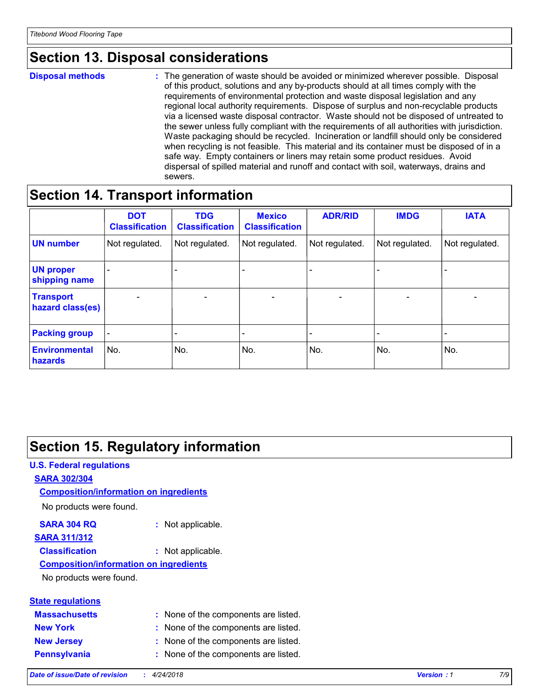# **Section 13. Disposal considerations**

#### **Disposal methods :**

The generation of waste should be avoided or minimized wherever possible. Disposal of this product, solutions and any by-products should at all times comply with the requirements of environmental protection and waste disposal legislation and any regional local authority requirements. Dispose of surplus and non-recyclable products via a licensed waste disposal contractor. Waste should not be disposed of untreated to the sewer unless fully compliant with the requirements of all authorities with jurisdiction. Waste packaging should be recycled. Incineration or landfill should only be considered when recycling is not feasible. This material and its container must be disposed of in a safe way. Empty containers or liners may retain some product residues. Avoid dispersal of spilled material and runoff and contact with soil, waterways, drains and sewers.

# **Section 14. Transport information**

|                                      | <b>DOT</b><br><b>Classification</b> | <b>TDG</b><br><b>Classification</b> | <b>Mexico</b><br><b>Classification</b> | <b>ADR/RID</b>           | <b>IMDG</b>              | <b>IATA</b>              |
|--------------------------------------|-------------------------------------|-------------------------------------|----------------------------------------|--------------------------|--------------------------|--------------------------|
| <b>UN number</b>                     | Not regulated.                      | Not regulated.                      | Not regulated.                         | Not regulated.           | Not regulated.           | Not regulated.           |
| <b>UN proper</b><br>shipping name    | $\qquad \qquad -$                   | $\qquad \qquad -$                   |                                        |                          |                          | $\overline{\phantom{0}}$ |
| <b>Transport</b><br>hazard class(es) | $\overline{\phantom{a}}$            | $\overline{\phantom{a}}$            | $\overline{\phantom{a}}$               | $\overline{\phantom{a}}$ | $\overline{\phantom{a}}$ | $\overline{\phantom{a}}$ |
| <b>Packing group</b>                 | $\overline{\phantom{a}}$            |                                     |                                        | -                        |                          | -                        |
| <b>Environmental</b><br>hazards      | No.                                 | No.                                 | No.                                    | No.                      | No.                      | No.                      |

# **Section 15. Regulatory information**

#### **U.S. Federal regulations SARA 302/304** No products were found. **Composition/information on ingredients**

#### **SARA 304 RQ :** Not applicable.

### **SARA 311/312**

**Classification :** Not applicable.

#### **Composition/information on ingredients**

No products were found.

|  | <b>State regulations</b> |
|--|--------------------------|
|  |                          |

| <b>Massachusetts</b> | : None of the components are listed. |
|----------------------|--------------------------------------|
| <b>New York</b>      | : None of the components are listed. |
| <b>New Jersey</b>    | : None of the components are listed. |
| <b>Pennsylvania</b>  | : None of the components are listed. |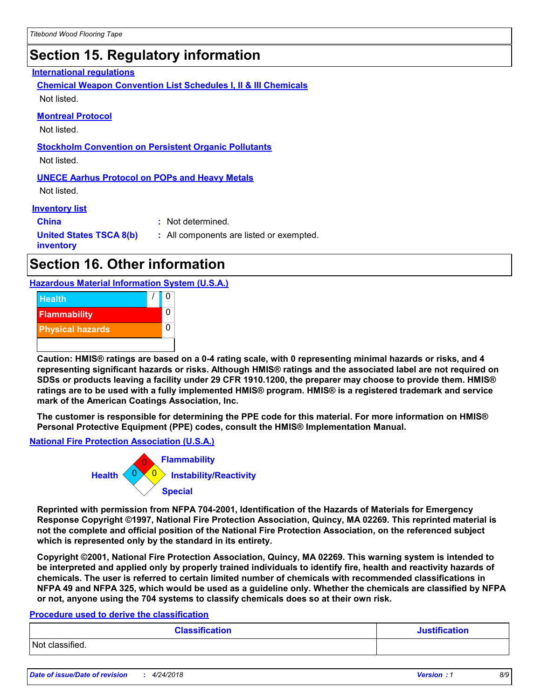# **Section 15. Regulatory information**

#### **International regulations**

**Chemical Weapon Convention List Schedules I, II & III Chemicals** Not listed.

#### **Montreal Protocol**

Not listed.

#### **Stockholm Convention on Persistent Organic Pollutants**

Not listed.

#### **UNECE Aarhus Protocol on POPs and Heavy Metals**

Not listed.

#### **Inventory list**

**China :** Not determined. **United States TSCA 8(b) inventory :** All components are listed or exempted.

# **Section 16. Other information**

**Hazardous Material Information System (U.S.A.)**



**Caution: HMIS® ratings are based on a 0-4 rating scale, with 0 representing minimal hazards or risks, and 4 representing significant hazards or risks. Although HMIS® ratings and the associated label are not required on SDSs or products leaving a facility under 29 CFR 1910.1200, the preparer may choose to provide them. HMIS® ratings are to be used with a fully implemented HMIS® program. HMIS® is a registered trademark and service mark of the American Coatings Association, Inc.**

**The customer is responsible for determining the PPE code for this material. For more information on HMIS® Personal Protective Equipment (PPE) codes, consult the HMIS® Implementation Manual.**

**National Fire Protection Association (U.S.A.)**



**Reprinted with permission from NFPA 704-2001, Identification of the Hazards of Materials for Emergency Response Copyright ©1997, National Fire Protection Association, Quincy, MA 02269. This reprinted material is not the complete and official position of the National Fire Protection Association, on the referenced subject which is represented only by the standard in its entirety.**

**Copyright ©2001, National Fire Protection Association, Quincy, MA 02269. This warning system is intended to be interpreted and applied only by properly trained individuals to identify fire, health and reactivity hazards of chemicals. The user is referred to certain limited number of chemicals with recommended classifications in NFPA 49 and NFPA 325, which would be used as a guideline only. Whether the chemicals are classified by NFPA or not, anyone using the 704 systems to classify chemicals does so at their own risk.**

#### **Procedure used to derive the classification**

| <b>Classification</b> | <b>Justification</b> |
|-----------------------|----------------------|
| Not classified.       |                      |